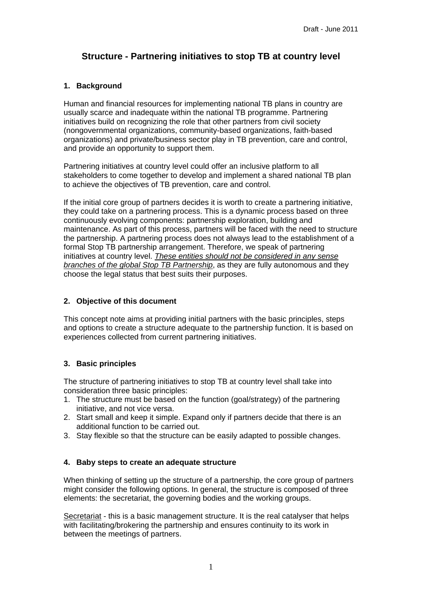# **Structure - Partnering initiatives to stop TB at country level**

## **1. Background**

Human and financial resources for implementing national TB plans in country are usually scarce and inadequate within the national TB programme. Partnering initiatives build on recognizing the role that other partners from civil society (nongovernmental organizations, community-based organizations, faith-based organizations) and private/business sector play in TB prevention, care and control, and provide an opportunity to support them.

Partnering initiatives at country level could offer an inclusive platform to all stakeholders to come together to develop and implement a shared national TB plan to achieve the objectives of TB prevention, care and control.

If the initial core group of partners decides it is worth to create a partnering initiative, they could take on a partnering process. This is a dynamic process based on three continuously evolving components: partnership exploration, building and maintenance. As part of this process, partners will be faced with the need to structure the partnership. A partnering process does not always lead to the establishment of a formal Stop TB partnership arrangement. Therefore, we speak of partnering initiatives at country level. *These entities should not be considered in any sense branches of the global Stop TB Partnership*, as they are fully autonomous and they choose the legal status that best suits their purposes.

### **2. Objective of this document**

This concept note aims at providing initial partners with the basic principles, steps and options to create a structure adequate to the partnership function. It is based on experiences collected from current partnering initiatives.

# **3. Basic principles**

The structure of partnering initiatives to stop TB at country level shall take into consideration three basic principles:

- 1. The structure must be based on the function (goal/strategy) of the partnering initiative, and not vice versa.
- 2. Start small and keep it simple. Expand only if partners decide that there is an additional function to be carried out.
- 3. Stay flexible so that the structure can be easily adapted to possible changes.

# **4. Baby steps to create an adequate structure**

When thinking of setting up the structure of a partnership, the core group of partners might consider the following options. In general, the structure is composed of three elements: the secretariat, the governing bodies and the working groups.

Secretariat - this is a basic management structure. It is the real catalyser that helps with facilitating/brokering the partnership and ensures continuity to its work in between the meetings of partners.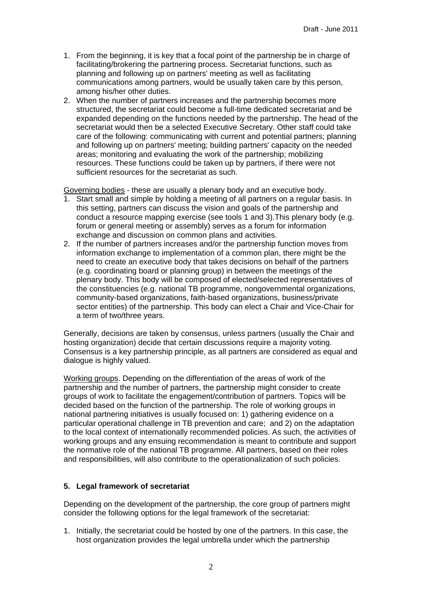- 1. From the beginning, it is key that a focal point of the partnership be in charge of facilitating/brokering the partnering process. Secretariat functions, such as planning and following up on partners' meeting as well as facilitating communications among partners, would be usually taken care by this person, among his/her other duties.
- 2. When the number of partners increases and the partnership becomes more structured, the secretariat could become a full-time dedicated secretariat and be expanded depending on the functions needed by the partnership. The head of the secretariat would then be a selected Executive Secretary. Other staff could take care of the following: communicating with current and potential partners; planning and following up on partners' meeting; building partners' capacity on the needed areas; monitoring and evaluating the work of the partnership; mobilizing resources. These functions could be taken up by partners, if there were not sufficient resources for the secretariat as such.

Governing bodies - these are usually a plenary body and an executive body.

- 1. Start small and simple by holding a meeting of all partners on a regular basis. In this setting, partners can discuss the vision and goals of the partnership and conduct a resource mapping exercise (see tools 1 and 3).This plenary body (e.g. forum or general meeting or assembly) serves as a forum for information exchange and discussion on common plans and activities.
- 2. If the number of partners increases and/or the partnership function moves from information exchange to implementation of a common plan, there might be the need to create an executive body that takes decisions on behalf of the partners (e.g. coordinating board or planning group) in between the meetings of the plenary body. This body will be composed of elected/selected representatives of the constituencies (e.g. national TB programme, nongovernmental organizations, community-based organizations, faith-based organizations, business/private sector entities) of the partnership. This body can elect a Chair and Vice-Chair for a term of two/three years.

Generally, decisions are taken by consensus, unless partners (usually the Chair and hosting organization) decide that certain discussions require a majority voting. Consensus is a key partnership principle, as all partners are considered as equal and dialogue is highly valued.

Working groups. Depending on the differentiation of the areas of work of the partnership and the number of partners, the partnership might consider to create groups of work to facilitate the engagement/contribution of partners. Topics will be decided based on the function of the partnership. The role of working groups in national partnering initiatives is usually focused on: 1) gathering evidence on a particular operational challenge in TB prevention and care; and 2) on the adaptation to the local context of internationally recommended policies. As such, the activities of working groups and any ensuing recommendation is meant to contribute and support the normative role of the national TB programme. All partners, based on their roles and responsibilities, will also contribute to the operationalization of such policies.

#### **5. Legal framework of secretariat**

Depending on the development of the partnership, the core group of partners might consider the following options for the legal framework of the secretariat:

1. Initially, the secretariat could be hosted by one of the partners. In this case, the host organization provides the legal umbrella under which the partnership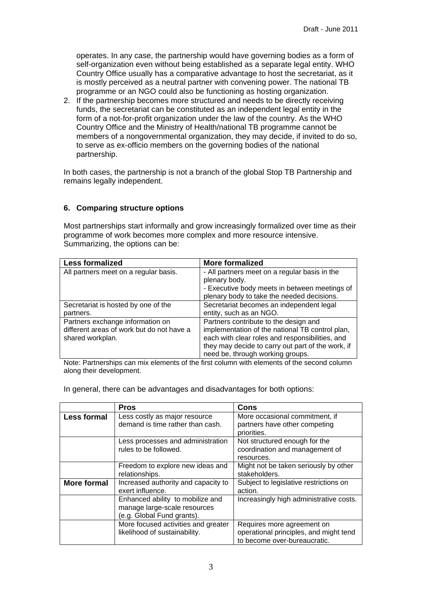operates. In any case, the partnership would have governing bodies as a form of self-organization even without being established as a separate legal entity. WHO Country Office usually has a comparative advantage to host the secretariat, as it is mostly perceived as a neutral partner with convening power. The national TB programme or an NGO could also be functioning as hosting organization.

2. If the partnership becomes more structured and needs to be directly receiving funds, the secretariat can be constituted as an independent legal entity in the form of a not-for-profit organization under the law of the country. As the WHO Country Office and the Ministry of Health/national TB programme cannot be members of a nongovernmental organization, they may decide, if invited to do so, to serve as ex-officio members on the governing bodies of the national partnership.

In both cases, the partnership is not a branch of the global Stop TB Partnership and remains legally independent.

### **6. Comparing structure options**

Most partnerships start informally and grow increasingly formalized over time as their programme of work becomes more complex and more resource intensive. Summarizing, the options can be:

| <b>Less formalized</b>                    | <b>More formalized</b>                            |
|-------------------------------------------|---------------------------------------------------|
| All partners meet on a regular basis.     | - All partners meet on a regular basis in the     |
|                                           | plenary body.                                     |
|                                           | - Executive body meets in between meetings of     |
|                                           | plenary body to take the needed decisions.        |
| Secretariat is hosted by one of the       | Secretariat becomes an independent legal          |
| partners.                                 | entity, such as an NGO.                           |
| Partners exchange information on          | Partners contribute to the design and             |
| different areas of work but do not have a | implementation of the national TB control plan,   |
| shared workplan.                          | each with clear roles and responsibilities, and   |
|                                           | they may decide to carry out part of the work, if |
|                                           | need be, through working groups.                  |

Note: Partnerships can mix elements of the first column with elements of the second column along their development.

In general, there can be advantages and disadvantages for both options:

|                    | <b>Pros</b>                                                                                    | Cons                                                                                                 |
|--------------------|------------------------------------------------------------------------------------------------|------------------------------------------------------------------------------------------------------|
| <b>Less formal</b> | Less costly as major resource<br>demand is time rather than cash.                              | More occasional commitment, if<br>partners have other competing<br>priorities.                       |
|                    | Less processes and administration<br>rules to be followed.                                     | Not structured enough for the<br>coordination and management of<br>resources.                        |
|                    | Freedom to explore new ideas and<br>relationships.                                             | Might not be taken seriously by other<br>stakeholders.                                               |
| <b>More formal</b> | Increased authority and capacity to<br>exert influence.                                        | Subject to legislative restrictions on<br>action.                                                    |
|                    | Enhanced ability to mobilize and<br>manage large-scale resources<br>(e.g. Global Fund grants). | Increasingly high administrative costs.                                                              |
|                    | More focused activities and greater<br>likelihood of sustainability.                           | Requires more agreement on<br>operational principles, and might tend<br>to become over-bureaucratic. |